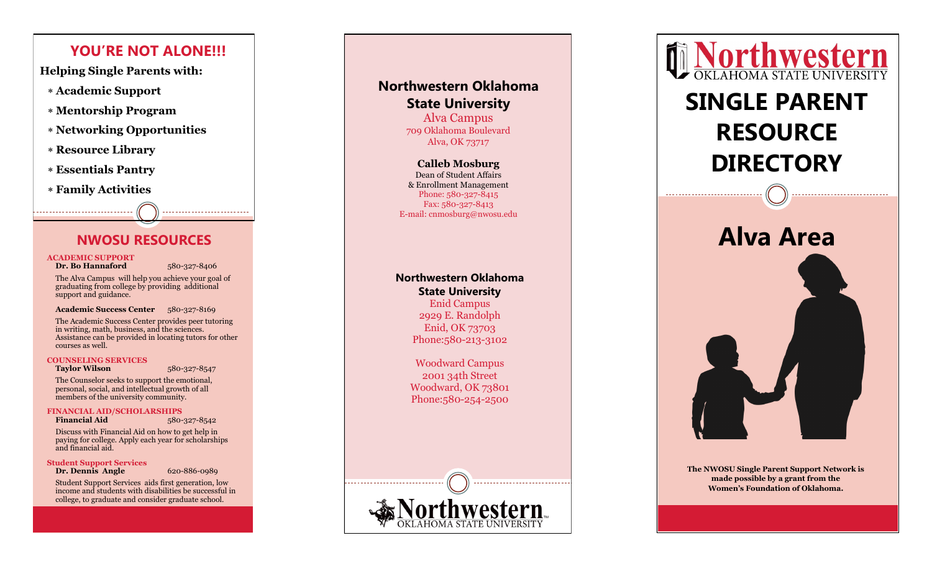## **YOU'RE NOT ALONE!!!**

**Helping Single Parents with:**

- **Academic Support**
- **Mentorship Program**
- **Networking Opportunities**
- **Resource Library**
- **Essentials Pantry**
- **Family Activities**

### **NWOSU RESOURCES**

#### **ACADEMIC SUPPORT**

**Dr. Bo Hannaford** 

-327 -8406

The Alva Campus will help you achieve your goal of graduating from college by providing additional support and guidance.

#### Academic Success Center 580-327-8169

The Academic Success Center provides peer tutoring in writing, math, business, and the sciences. Assistance can be provided in locating tutors for other courses as well.

#### **COUNSELING SERVICES**

**Taylor Wilson** 

-327 -8547

The Counselor seeks to support the emotional, personal, social, and intellectual growth of all members of the university community.

**FINANCIAL AID/SCHOLARSHIPS Financial Aid** -327 -8542

Discuss with Financial Aid on how to get help in paying for college. Apply each year for scholarships and financial aid.

**Student Support Services Dr. Dennis Angle** 

-886 -0989

Student Support Services aids first generation, low income and students with disabilities be successful in college, to graduate and consider graduate school.

## **Northwestern Oklahoma State University** Alva Campus 709 Oklahoma Boulevard

Alva, OK 73717

**Calleb Mosburg** Dean of Student Affairs & Enrollment Management Phone: 580 -327 -8415 Fax: 580-327-8413 E -mail: cnmosburg@nwosu.edu

## **Northwestern Oklahoma State University**

Enid Campus 2929 E. Randolph Enid, OK 73703 Phone: 580-213-3102

Woodward Campus 2001 34th Street Woodward, OK 73801 Phone: 580-254-2500





# **SINGLE PARENT RESOURCE DIRECTORY**

-------------------------------



**The NWOSU Single Parent Support Network is made possible by a grant from the Women 's Foundation of Oklahoma.**